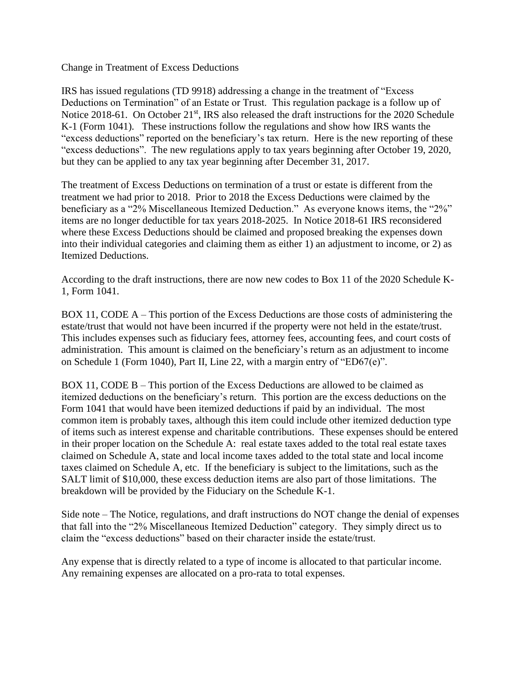Change in Treatment of Excess Deductions

IRS has issued regulations (TD 9918) addressing a change in the treatment of "Excess Deductions on Termination" of an Estate or Trust. This regulation package is a follow up of Notice 2018-61. On October 21<sup>st</sup>, IRS also released the draft instructions for the 2020 Schedule K-1 (Form 1041). These instructions follow the regulations and show how IRS wants the "excess deductions" reported on the beneficiary's tax return. Here is the new reporting of these "excess deductions". The new regulations apply to tax years beginning after October 19, 2020, but they can be applied to any tax year beginning after December 31, 2017.

The treatment of Excess Deductions on termination of a trust or estate is different from the treatment we had prior to 2018. Prior to 2018 the Excess Deductions were claimed by the beneficiary as a "2% Miscellaneous Itemized Deduction." As everyone knows items, the "2%" items are no longer deductible for tax years 2018-2025. In Notice 2018-61 IRS reconsidered where these Excess Deductions should be claimed and proposed breaking the expenses down into their individual categories and claiming them as either 1) an adjustment to income, or 2) as Itemized Deductions.

According to the draft instructions, there are now new codes to Box 11 of the 2020 Schedule K-1, Form 1041.

BOX 11, CODE A – This portion of the Excess Deductions are those costs of administering the estate/trust that would not have been incurred if the property were not held in the estate/trust. This includes expenses such as fiduciary fees, attorney fees, accounting fees, and court costs of administration. This amount is claimed on the beneficiary's return as an adjustment to income on Schedule 1 (Form 1040), Part II, Line 22, with a margin entry of "ED67(e)".

BOX 11, CODE B – This portion of the Excess Deductions are allowed to be claimed as itemized deductions on the beneficiary's return. This portion are the excess deductions on the Form 1041 that would have been itemized deductions if paid by an individual. The most common item is probably taxes, although this item could include other itemized deduction type of items such as interest expense and charitable contributions. These expenses should be entered in their proper location on the Schedule A: real estate taxes added to the total real estate taxes claimed on Schedule A, state and local income taxes added to the total state and local income taxes claimed on Schedule A, etc. If the beneficiary is subject to the limitations, such as the SALT limit of \$10,000, these excess deduction items are also part of those limitations. The breakdown will be provided by the Fiduciary on the Schedule K-1.

Side note – The Notice, regulations, and draft instructions do NOT change the denial of expenses that fall into the "2% Miscellaneous Itemized Deduction" category. They simply direct us to claim the "excess deductions" based on their character inside the estate/trust.

Any expense that is directly related to a type of income is allocated to that particular income. Any remaining expenses are allocated on a pro-rata to total expenses.